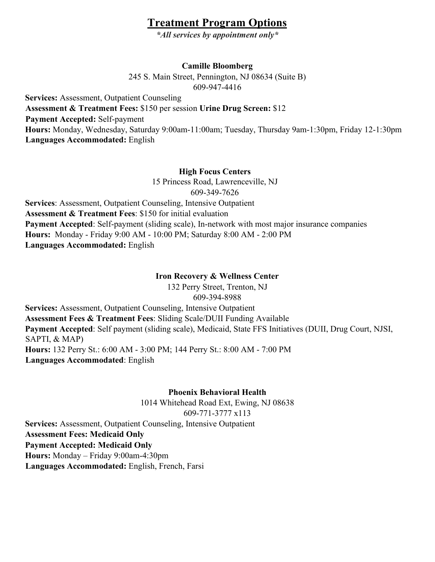# **Treatment Program Options**

*\*All services by appointment only\** 

# **Camille Bloomberg**

245 S. Main Street, Pennington, NJ 08634 (Suite B) 609-947-4416

**Services:** Assessment, Outpatient Counseling **Assessment & Treatment Fees:** \$150 per session **Urine Drug Screen:** \$12 **Payment Accepted:** Self-payment **Hours:** Monday, Wednesday, Saturday 9:00am-11:00am; Tuesday, Thursday 9am-1:30pm, Friday 12-1:30pm **Languages Accommodated:** English

# **High Focus Centers**

15 Princess Road, Lawrenceville, NJ 609-349-7626

**Services**: Assessment, Outpatient Counseling, Intensive Outpatient **Assessment & Treatment Fees**: \$150 for initial evaluation **Payment Accepted**: Self-payment (sliding scale), In-network with most major insurance companies **Hours:** Monday - Friday 9:00 AM - 10:00 PM; Saturday 8:00 AM - 2:00 PM **Languages Accommodated:** English

### **Iron Recovery & Wellness Center**

132 Perry Street, Trenton, NJ 609-394-8988

**Services:** Assessment, Outpatient Counseling, Intensive Outpatient **Assessment Fees & Treatment Fees**: Sliding Scale/DUII Funding Available **Payment Accepted**: Self payment (sliding scale), Medicaid, State FFS Initiatives (DUII, Drug Court, NJSI, SAPTI, & MAP) **Hours:** 132 Perry St.: 6:00 AM - 3:00 PM; 144 Perry St.: 8:00 AM - 7:00 PM **Languages Accommodated**: English

**Phoenix Behavioral Health** 

1014 Whitehead Road Ext, Ewing, NJ 08638 609-771-3777 x113

**Services:** Assessment, Outpatient Counseling, Intensive Outpatient **Assessment Fees: Medicaid Only** 

**Payment Accepted: Medicaid Only** 

**Hours:** Monday – Friday 9:00am-4:30pm

**Languages Accommodated:** English, French, Farsi